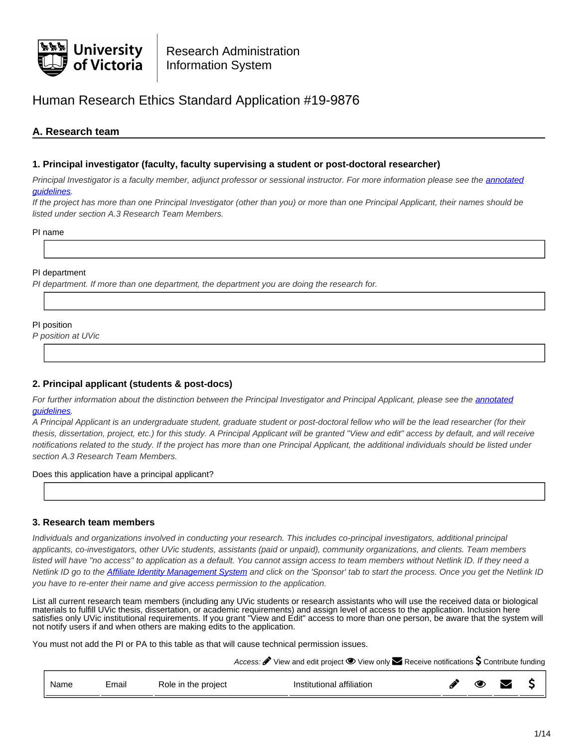

# Human Research Ethics Standard Application #19-9876

# **A. Research team**

### **1. Principal investigator (faculty, faculty supervising a student or post-doctoral researcher)**

Principal Investigator is a faculty member, adjunct professor or sessional instructor. For more information please see the [annotated](https://www.uvic.ca/research/assets/docs/Ethics/Annotated Guidelines HRE Application Form.pdf) [guidelines.](https://www.uvic.ca/research/assets/docs/Ethics/Annotated Guidelines HRE Application Form.pdf)

If the project has more than one Principal Investigator (other than you) or more than one Principal Applicant, their names should be listed under section A.3 Research Team Members.

PI name

### PI department

PI department. If more than one department, the department you are doing the research for.

### PI position

P position at UVic

### **2. Principal applicant (students & post-docs)**

For further information about the distinction between the Principal Investigator and Principal Applicant, please see the [annotated](https://www.uvic.ca/research/assets/docs/Ethics/Annotated Guidelines HRE Application Form.pdf) [guidelines.](https://www.uvic.ca/research/assets/docs/Ethics/Annotated Guidelines HRE Application Form.pdf)

A Principal Applicant is an undergraduate student, graduate student or post-doctoral fellow who will be the lead researcher (for their thesis, dissertation, project, etc.) for this study. A Principal Applicant will be granted "View and edit" access by default, and will receive notifications related to the study. If the project has more than one Principal Applicant, the additional individuals should be listed under section A.3 Research Team Members.

Does this application have a principal applicant?

### **3. Research team members**

Individuals and organizations involved in conducting your research. This includes co-principal investigators, additional principal applicants, co-investigators, other UVic students, assistants (paid or unpaid), community organizations, and clients. Team members listed will have "no access" to application as a default. You cannot assign access to team members without Netlink ID. If they need a Netlink ID go to the [Affiliate Identity Management System](https://apex.uvic.ca/aims) and click on the 'Sponsor' tab to start the process. Once you get the Netlink ID you have to re-enter their name and give access permission to the application.

List all current research team members (including any UVic students or research assistants who will use the received data or biological materials to fulfill UVic thesis, dissertation, or academic requirements) and assign level of access to the application. Inclusion here satisfies only UVic institutional requirements. If you grant "View and Edit" access to more than one person, be aware that the system will not notify users if and when others are making edits to the application.

You must not add the PI or PA to this table as that will cause technical permission issues.

Access:  $\bullet$  View and edit project  $\bullet$  View only  $\bullet$  Receive notifications  $\sf S$  Contribute funding

| Email<br>Role in the project<br>Name | <br>Institutional affiliation |  | " |  |  |
|--------------------------------------|-------------------------------|--|---|--|--|
|--------------------------------------|-------------------------------|--|---|--|--|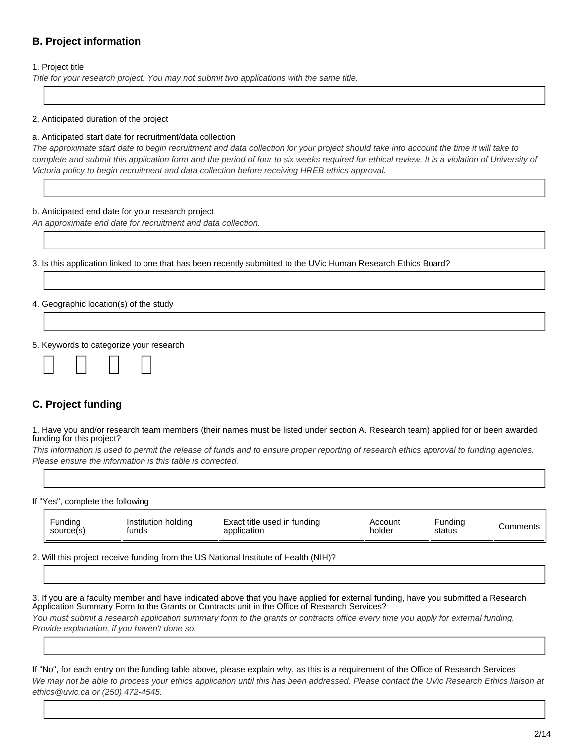# **B. Project information**

### 1. Project title

Title for your research project. You may not submit two applications with the same title.

### 2. Anticipated duration of the project

#### a. Anticipated start date for recruitment/data collection

The approximate start date to begin recruitment and data collection for your project should take into account the time it will take to complete and submit this application form and the period of four to six weeks required for ethical review. It is a violation of University of Victoria policy to begin recruitment and data collection before receiving HREB ethics approval.

#### b. Anticipated end date for your research project

An approximate end date for recruitment and data collection.

3. Is this application linked to one that has been recently submitted to the UVic Human Research Ethics Board?

### 4. Geographic location(s) of the study

5. Keywords to categorize your research

| ______ | ______ | ______ | ______ |
|--------|--------|--------|--------|

# **C. Project funding**

1. Have you and/or research team members (their names must be listed under section A. Research team) applied for or been awarded funding for this project?

This information is used to permit the release of funds and to ensure proper reporting of research ethics approval to funding agencies. Please ensure the information is this table is corrected.

If "Yes", complete the following

| Fundina   | Institution holding | Exact title used in funding | Account | ⊢undina | Comments |
|-----------|---------------------|-----------------------------|---------|---------|----------|
| source(s) | tunds               | application                 | holder  | status  |          |

2. Will this project receive funding from the US National Institute of Health (NIH)?

3. If you are a faculty member and have indicated above that you have applied for external funding, have you submitted a Research Application Summary Form to the Grants or Contracts unit in the Office of Research Services? You must submit a research application summary form to the grants or contracts office every time you apply for external funding. Provide explanation, if you haven't done so.

If "No", for each entry on the funding table above, please explain why, as this is a requirement of the Office of Research Services We may not be able to process your ethics application until this has been addressed. Please contact the UVic Research Ethics liaison at ethics@uvic.ca or (250) 472-4545.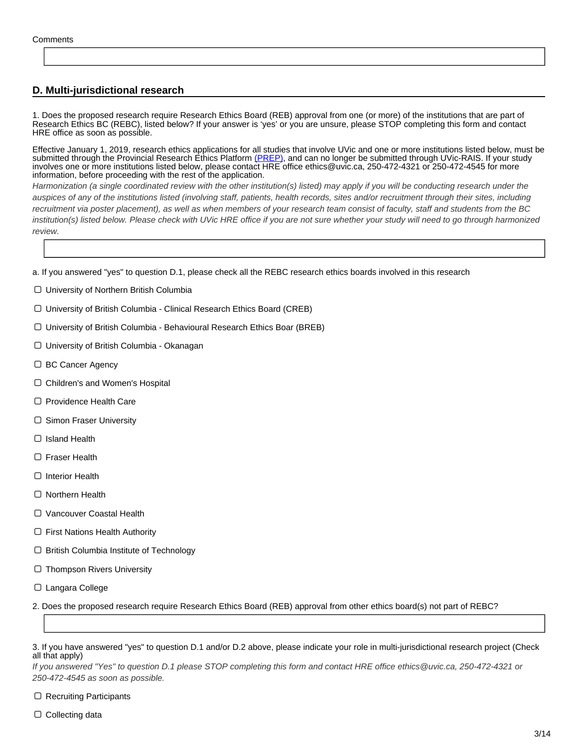# **D. Multi-jurisdictional research**

1. Does the proposed research require Research Ethics Board (REB) approval from one (or more) of the institutions that are part of Research Ethics BC (REBC), listed below? If your answer is 'yes' or you are unsure, please STOP completing this form and contact HRE office as soon as possible.

Effective January 1, 2019, research ethics applications for all studies that involve UVic and one or more institutions listed below, must be submitted through the Provincial Research Ethics Platform [\(PREP\)]( https://researchethicsbc.ca/apply-for-ethics-review/), and can no longer be submitted through UVic-RAIS. If your study involves one or more institutions listed below, please contact HRE office ethics@uvic.ca, 250-472-4321 or 250-472-4545 for more information, before proceeding with the rest of the application.

Harmonization (a single coordinated review with the other institution(s) listed) may apply if you will be conducting research under the auspices of any of the institutions listed (involving staff, patients, health records, sites and/or recruitment through their sites, including recruitment via poster placement), as well as when members of your research team consist of faculty, staff and students from the BC institution(s) listed below. Please check with UVic HRE office if you are not sure whether your study will need to go through harmonized review.

a. If you answered "yes" to question D.1, please check all the REBC research ethics boards involved in this research

- University of Northern British Columbia
- University of British Columbia Clinical Research Ethics Board (CREB)
- University of British Columbia Behavioural Research Ethics Boar (BREB)
- University of British Columbia Okanagan
- $\Box$  BC Cancer Agency
- □ Children's and Women's Hospital
- □ Providence Health Care
- □ Simon Fraser University
- Island Health
- □ Fraser Health
- □ Interior Health
- □ Northern Health
- □ Vancouver Coastal Health
- $\Box$  First Nations Health Authority
- $\Box$  British Columbia Institute of Technology
- $\Box$  Thompson Rivers University
- □ Langara College

2. Does the proposed research require Research Ethics Board (REB) approval from other ethics board(s) not part of REBC?

If you answered "Yes" to question D.1 please STOP completing this form and contact HRE office ethics@uvic.ca, 250-472-4321 or 250-472-4545 as soon as possible.

 $\Box$  Recruiting Participants

 $\Box$  Collecting data

<sup>3.</sup> If you have answered "yes" to question D.1 and/or D.2 above, please indicate your role in multi-jurisdictional research project (Check all that apply)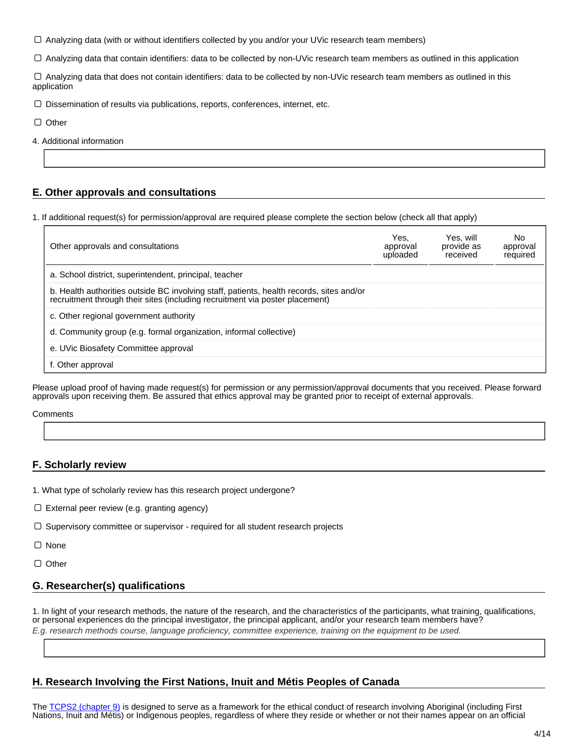Analyzing data (with or without identifiers collected by you and/or your UVic research team members)

Analyzing data that contain identifiers: data to be collected by non-UVic research team members as outlined in this application

 Analyzing data that does not contain identifiers: data to be collected by non-UVic research team members as outlined in this application

 $\Box$  Dissemination of results via publications, reports, conferences, internet, etc.

 $\Box$  Other

4. Additional information

### **E. Other approvals and consultations**

1. If additional request(s) for permission/approval are required please complete the section below (check all that apply)

| Other approvals and consultations                                                                                                                                        | Yes.<br>approval<br>uploaded | Yes. will<br>provide as<br>received | No<br>approval<br>required |
|--------------------------------------------------------------------------------------------------------------------------------------------------------------------------|------------------------------|-------------------------------------|----------------------------|
| a. School district, superintendent, principal, teacher                                                                                                                   |                              |                                     |                            |
| b. Health authorities outside BC involving staff, patients, health records, sites and/or<br>recruitment through their sites (including recruitment via poster placement) |                              |                                     |                            |
| c. Other regional government authority                                                                                                                                   |                              |                                     |                            |
| d. Community group (e.g. formal organization, informal collective)                                                                                                       |                              |                                     |                            |
| e. UVic Biosafety Committee approval                                                                                                                                     |                              |                                     |                            |
| f. Other approval                                                                                                                                                        |                              |                                     |                            |

Please upload proof of having made request(s) for permission or any permission/approval documents that you received. Please forward approvals upon receiving them. Be assured that ethics approval may be granted prior to receipt of external approvals.

**Comments** 

### **F. Scholarly review**

- 1. What type of scholarly review has this research project undergone?
- External peer review (e.g. granting agency)
- $\Box$  Supervisory committee or supervisor required for all student research projects
- □ None

 $\Box$  Other

### **G. Researcher(s) qualifications**

1. In light of your research methods, the nature of the research, and the characteristics of the participants, what training, qualifications, or personal experiences do the principal investigator, the principal applicant, and/or your research team members have?

E.g. research methods course, language proficiency, committee experience, training on the equipment to be used.

### **H. Research Involving the First Nations, Inuit and Métis Peoples of Canada**

The [TCPS2 \(chapter 9\)](http://www.pre.ethics.gc.ca/eng/tcps2-eptc2_2018_chapter9-chapitre9.html) is designed to serve as a framework for the ethical conduct of research involving Aboriginal (including First Nations, Inuit and Métis) or Indigenous peoples, regardless of where they reside or whether or not their names appear on an official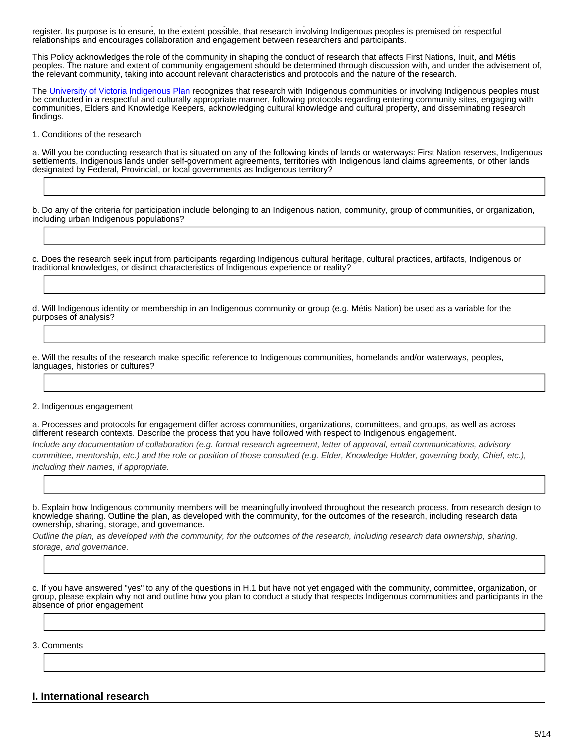Nations, Inuit and Métis) or Indigenous peoples, regardless of where they reside or whether or not their names appear on an official register. Its purpose is to ensure, to the extent possible, that research involving Indigenous peoples is premised on respectful relationships and encourages collaboration and engagement between researchers and participants.

This Policy acknowledges the role of the community in shaping the conduct of research that affects First Nations, Inuit, and Métis peoples. The nature and extent of community engagement should be determined through discussion with, and under the advisement of, the relevant community, taking into account relevant characteristics and protocols and the nature of the research.

The [University of Victoria Indigenous Plan](https://www.uvic.ca/vpacademic/assets/docs/indigenousacademicplan/IndigenousPlan_Final.pdf) recognizes that research with Indigenous communities or involving Indigenous peoples must be conducted in a respectful and culturally appropriate manner, following protocols regarding entering community sites, engaging with communities, Elders and Knowledge Keepers, acknowledging cultural knowledge and cultural property, and disseminating research findings.

1. Conditions of the research

a. Will you be conducting research that is situated on any of the following kinds of lands or waterways: First Nation reserves, Indigenous settlements, Indigenous lands under self-government agreements, territories with Indigenous land claims agreements, or other lands designated by Federal, Provincial, or local governments as Indigenous territory?

b. Do any of the criteria for participation include belonging to an Indigenous nation, community, group of communities, or organization, including urban Indigenous populations?

c. Does the research seek input from participants regarding Indigenous cultural heritage, cultural practices, artifacts, Indigenous or traditional knowledges, or distinct characteristics of Indigenous experience or reality?

d. Will Indigenous identity or membership in an Indigenous community or group (e.g. Métis Nation) be used as a variable for the purposes of analysis?

e. Will the results of the research make specific reference to Indigenous communities, homelands and/or waterways, peoples, languages, histories or cultures?

#### 2. Indigenous engagement

a. Processes and protocols for engagement differ across communities, organizations, committees, and groups, as well as across different research contexts. Describe the process that you have followed with respect to Indigenous engagement. Include any documentation of collaboration (e.g. formal research agreement, letter of approval, email communications, advisory committee, mentorship, etc.) and the role or position of those consulted (e.g. Elder, Knowledge Holder, governing body, Chief, etc.), including their names, if appropriate.

b. Explain how Indigenous community members will be meaningfully involved throughout the research process, from research design to knowledge sharing. Outline the plan, as developed with the community, for the outcomes of the research, including research data ownership, sharing, storage, and governance.

Outline the plan, as developed with the community, for the outcomes of the research, including research data ownership, sharing, storage, and governance.

c. If you have answered "yes" to any of the questions in H.1 but have not yet engaged with the community, committee, organization, or group, please explain why not and outline how you plan to conduct a study that respects Indigenous communities and participants in the absence of prior engagement.

3. Comments

**I. International research**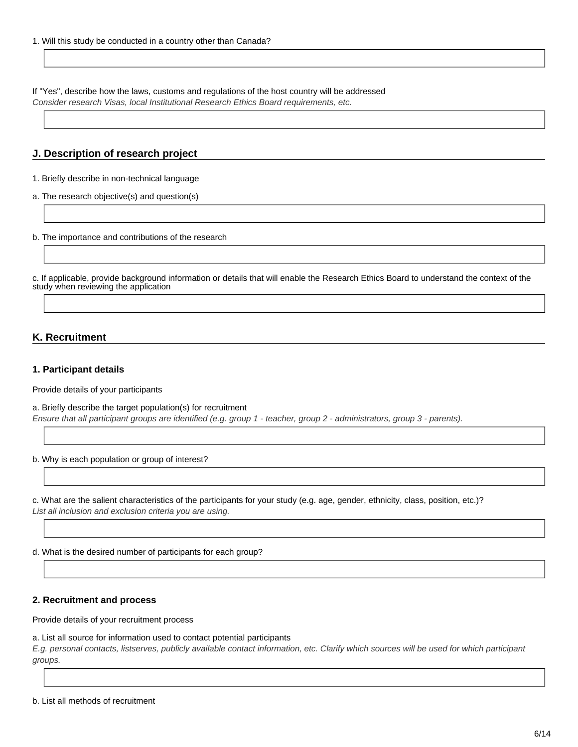If "Yes", describe how the laws, customs and regulations of the host country will be addressed

Consider research Visas, local Institutional Research Ethics Board requirements, etc.

# **J. Description of research project**

1. Briefly describe in non-technical language

a. The research objective(s) and question(s)

b. The importance and contributions of the research

c. If applicable, provide background information or details that will enable the Research Ethics Board to understand the context of the study when reviewing the application

# **K. Recruitment**

### **1. Participant details**

Provide details of your participants

a. Briefly describe the target population(s) for recruitment Ensure that all participant groups are identified (e.g. group 1 - teacher, group 2 - administrators, group 3 - parents).

b. Why is each population or group of interest?

c. What are the salient characteristics of the participants for your study (e.g. age, gender, ethnicity, class, position, etc.)? List all inclusion and exclusion criteria you are using.

d. What is the desired number of participants for each group?

### **2. Recruitment and process**

Provide details of your recruitment process

### a. List all source for information used to contact potential participants

E.g. personal contacts, listserves, publicly available contact information, etc. Clarify which sources will be used for which participant groups.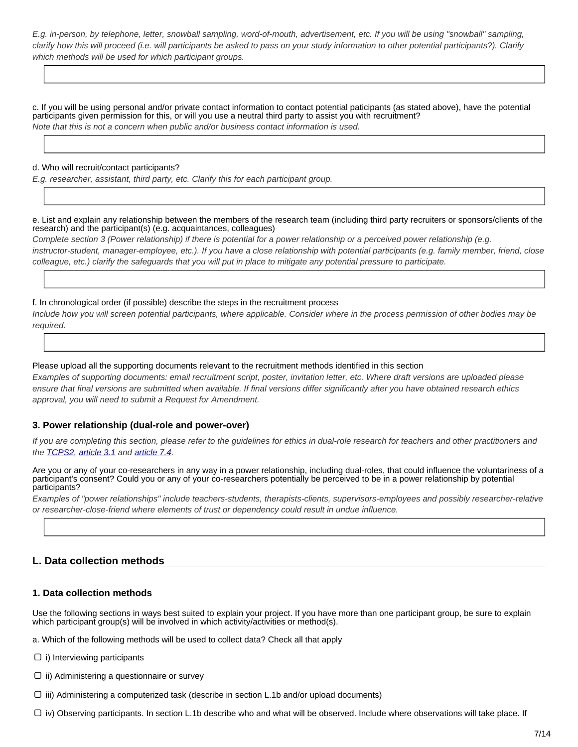E.g. in-person, by telephone, letter, snowball sampling, word-of-mouth, advertisement, etc. If you will be using "snowball" sampling, clarify how this will proceed (i.e. will participants be asked to pass on your study information to other potential participants?). Clarify which methods will be used for which participant groups.

c. If you will be using personal and/or private contact information to contact potential paticipants (as stated above), have the potential participants given permission for this, or will you use a neutral third party to assist you with recruitment? Note that this is not a concern when public and/or business contact information is used.

#### d. Who will recruit/contact participants?

E.g. researcher, assistant, third party, etc. Clarify this for each participant group.

e. List and explain any relationship between the members of the research team (including third party recruiters or sponsors/clients of the research) and the participant(s) (e.g. acquaintances, colleagues)

Complete section 3 (Power relationship) if there is potential for a power relationship or a perceived power relationship (e.g. instructor-student, manager-employee, etc.). If you have a close relationship with potential participants (e.g. family member, friend, close colleague, etc.) clarify the safeguards that you will put in place to mitigate any potential pressure to participate.

f. In chronological order (if possible) describe the steps in the recruitment process

Include how you will screen potential participants, where applicable. Consider where in the process permission of other bodies may be required.

### Please upload all the supporting documents relevant to the recruitment methods identified in this section

Examples of supporting documents: email recruitment script, poster, invitation letter, etc. Where draft versions are uploaded please ensure that final versions are submitted when available. If final versions differ significantly after you have obtained research ethics approval, you will need to submit a Request for Amendment.

### **3. Power relationship (dual-role and power-over)**

If you are completing this section, please refer to the guidelines for ethics in dual-role research for teachers and other practitioners and the **TCPS2**, [article 3.1](http://www.pre.ethics.gc.ca/eng/tcps2-eptc2_2018_chapter3-chapitre3.html) and [article 7.4.](http://www.pre.ethics.gc.ca/eng/tcps2-eptc2_2018_chapter7-chapitre7.html)

Are you or any of your co-researchers in any way in a power relationship, including dual-roles, that could influence the voluntariness of a participant's consent? Could you or any of your co-researchers potentially be perceived to be in a power relationship by potential participants?

Examples of "power relationships" include teachers-students, therapists-clients, supervisors-employees and possibly researcher-relative or researcher-close-friend where elements of trust or dependency could result in undue influence.

### **L. Data collection methods**

### **1. Data collection methods**

Use the following sections in ways best suited to explain your project. If you have more than one participant group, be sure to explain which participant group(s) will be involved in which activity/activities or method(s).

a. Which of the following methods will be used to collect data? Check all that apply

- $\Box$  i) Interviewing participants
- $\Box$  ii) Administering a questionnaire or survey
- $\Box$  iii) Administering a computerized task (describe in section L.1b and/or upload documents)
- $\Box$  iv) Observing participants. In section L.1b describe who and what will be observed. Include where observations will take place. If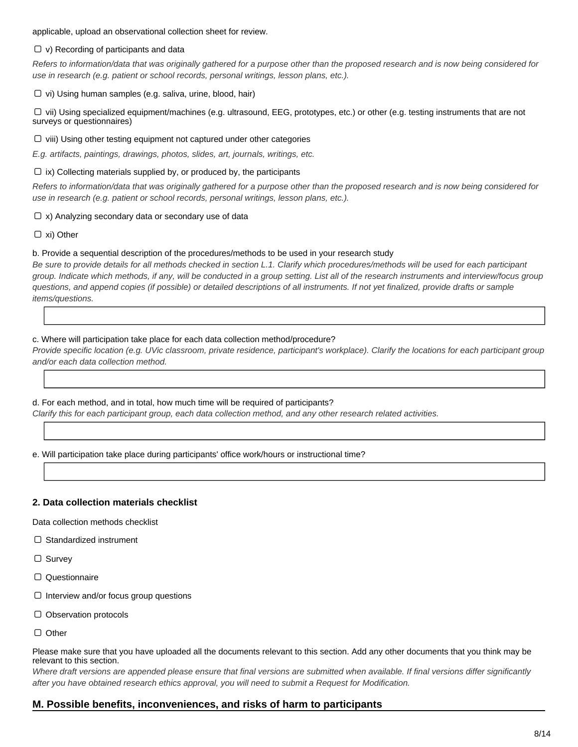applicable, upload an observational collection sheet for review.

### $\Box$  v) Recording of participants and data

Refers to information/data that was originally gathered for a purpose other than the proposed research and is now being considered for use in research (e.g. patient or school records, personal writings, lesson plans, etc.).

 $\Box$  vi) Using human samples (e.g. saliva, urine, blood, hair)

 $\Box$  vii) Using specialized equipment/machines (e.g. ultrasound, EEG, prototypes, etc.) or other (e.g. testing instruments that are not surveys or questionnaires)

 $\Box$  viii) Using other testing equipment not captured under other categories

E.g. artifacts, paintings, drawings, photos, slides, art, journals, writings, etc.

### $\Box$  ix) Collecting materials supplied by, or produced by, the participants

Refers to information/data that was originally gathered for a purpose other than the proposed research and is now being considered for use in research (e.g. patient or school records, personal writings, lesson plans, etc.).

### $\Box$  x) Analyzing secondary data or secondary use of data

□ xi) Other

### b. Provide a sequential description of the procedures/methods to be used in your research study

Be sure to provide details for all methods checked in section L.1. Clarify which procedures/methods will be used for each participant group. Indicate which methods, if any, will be conducted in a group setting. List all of the research instruments and interview/focus group questions, and append copies (if possible) or detailed descriptions of all instruments. If not yet finalized, provide drafts or sample items/questions.

### c. Where will participation take place for each data collection method/procedure?

Provide specific location (e.g. UVic classroom, private residence, participant's workplace). Clarify the locations for each participant group and/or each data collection method.

### d. For each method, and in total, how much time will be required of participants?

Clarify this for each participant group, each data collection method, and any other research related activities.

e. Will participation take place during participants' office work/hours or instructional time?

### **2. Data collection materials checklist**

Data collection methods checklist

- $\Box$  Standardized instrument
- □ Survey
- Questionnaire
- $\Box$  Interview and/or focus group questions
- $\Box$  Observation protocols
- $\Box$  Other

Please make sure that you have uploaded all the documents relevant to this section. Add any other documents that you think may be relevant to this section.

Where draft versions are appended please ensure that final versions are submitted when available. If final versions differ significantly after you have obtained research ethics approval, you will need to submit a Request for Modification.

### **M. Possible benefits, inconveniences, and risks of harm to participants**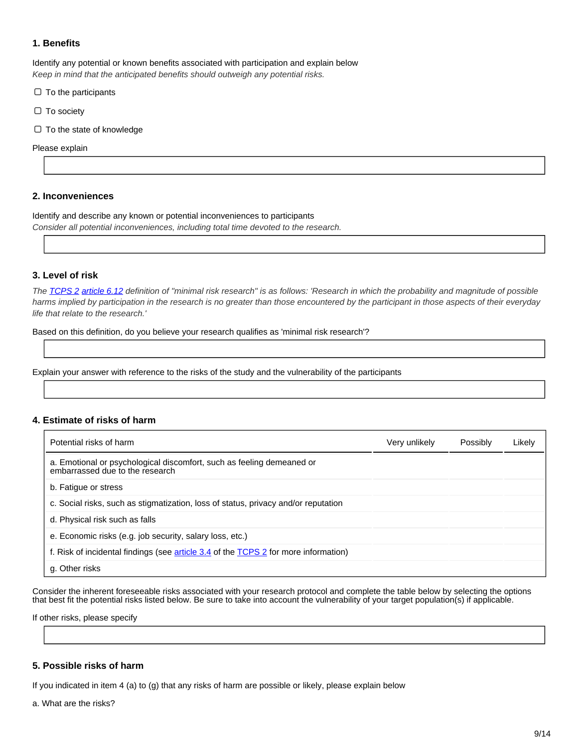### **1. Benefits**

Identify any potential or known benefits associated with participation and explain below Keep in mind that the anticipated benefits should outweigh any potential risks.

 $\Box$  To the participants

 $\Box$  To society

 $\Box$  To the state of knowledge

Please explain

### **2. Inconveniences**

Identify and describe any known or potential inconveniences to participants Consider all potential inconveniences, including total time devoted to the research.

### **3. Level of risk**

The **TCPS 2** [article 6.12](http://www.pre.ethics.gc.ca/eng/tcps2-eptc2_2018_chapter6-chapitre6.html) definition of "minimal risk research" is as follows: 'Research in which the probability and magnitude of possible harms implied by participation in the research is no greater than those encountered by the participant in those aspects of their everyday life that relate to the research.'

Based on this definition, do you believe your research qualifies as 'minimal risk research'?

Explain your answer with reference to the risks of the study and the vulnerability of the participants

### **4. Estimate of risks of harm**

| Potential risks of harm                                                                                  | Very unlikely | Possibly | Likely |
|----------------------------------------------------------------------------------------------------------|---------------|----------|--------|
| a. Emotional or psychological discomfort, such as feeling demeaned or<br>embarrassed due to the research |               |          |        |
| b. Fatigue or stress                                                                                     |               |          |        |
| c. Social risks, such as stigmatization, loss of status, privacy and/or reputation                       |               |          |        |
| d. Physical risk such as falls                                                                           |               |          |        |
| e. Economic risks (e.g. job security, salary loss, etc.)                                                 |               |          |        |
| f. Risk of incidental findings (see article 3.4 of the TCPS 2 for more information)                      |               |          |        |
| g. Other risks                                                                                           |               |          |        |

Consider the inherent foreseeable risks associated with your research protocol and complete the table below by selecting the options that best fit the potential risks listed below. Be sure to take into account the vulnerability of your target population(s) if applicable.

If other risks, please specify

### **5. Possible risks of harm**

If you indicated in item 4 (a) to (g) that any risks of harm are possible or likely, please explain below

a. What are the risks?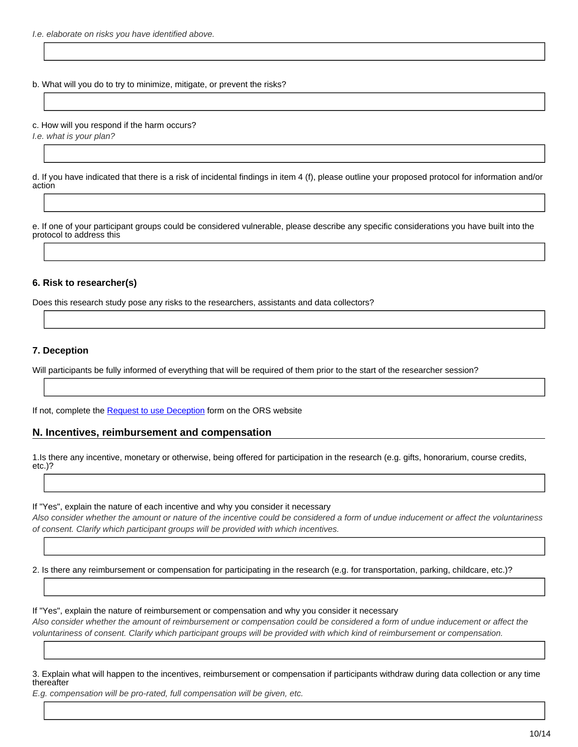I.e. elaborate on risks you have identified above.

b. What will you do to try to minimize, mitigate, or prevent the risks?

c. How will you respond if the harm occurs?

I.e. what is your plan?

d. If you have indicated that there is a risk of incidental findings in item 4 (f), please outline your proposed protocol for information and/or action

e. If one of your participant groups could be considered vulnerable, please describe any specific considerations you have built into the protocol to address this

### **6. Risk to researcher(s)**

Does this research study pose any risks to the researchers, assistants and data collectors?

### **7. Deception**

Will participants be fully informed of everything that will be required of them prior to the start of the researcher session?

If not, complete the [Request to use Deception](https://www.uvic.ca/research/assets/docs/Ethics/Request_to_Use_Deception.doc) form on the ORS website

### **N. Incentives, reimbursement and compensation**

1.Is there any incentive, monetary or otherwise, being offered for participation in the research (e.g. gifts, honorarium, course credits, etc.)?

If "Yes", explain the nature of each incentive and why you consider it necessary

Also consider whether the amount or nature of the incentive could be considered a form of undue inducement or affect the voluntariness of consent. Clarify which participant groups will be provided with which incentives.

2. Is there any reimbursement or compensation for participating in the research (e.g. for transportation, parking, childcare, etc.)?

If "Yes", explain the nature of reimbursement or compensation and why you consider it necessary Also consider whether the amount of reimbursement or compensation could be considered a form of undue inducement or affect the voluntariness of consent. Clarify which participant groups will be provided with which kind of reimbursement or compensation.

3. Explain what will happen to the incentives, reimbursement or compensation if participants withdraw during data collection or any time thereafter

E.g. compensation will be pro-rated, full compensation will be given, etc.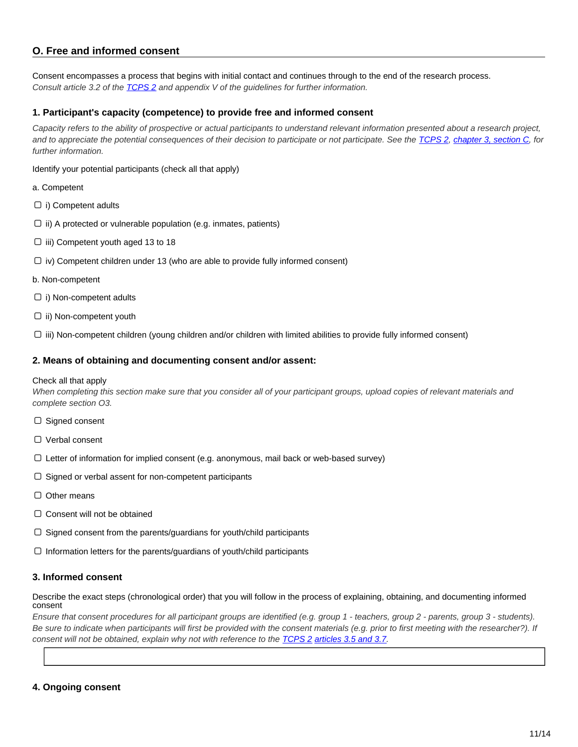## **O. Free and informed consent**

Consent encompasses a process that begins with initial contact and continues through to the end of the research process. Consult article 3.2 of the **TCPS 2** and appendix V of the guidelines for further information.

### **1. Participant's capacity (competence) to provide free and informed consent**

Capacity refers to the ability of prospective or actual participants to understand relevant information presented about a research project, and to appreciate the potential consequences of their decision to participate or not participate. See the [TCPS 2](http://www.pre.ethics.gc.ca/eng/policy-politique_tcps2-eptc2_2018.html), [chapter 3, section C,](http://www.pre.ethics.gc.ca/eng/tcps2-eptc2_2018_chapter3-chapitre3.html) for further information.

Identify your potential participants (check all that apply)

a. Competent

- $\Box$  i) Competent adults
- $\Box$  ii) A protected or vulnerable population (e.g. inmates, patients)
- $\Box$  iii) Competent youth aged 13 to 18
- $\Box$  iv) Competent children under 13 (who are able to provide fully informed consent)
- b. Non-competent
- $\Box$  i) Non-competent adults
- $\Box$  ii) Non-competent youth

 $\Box$  iii) Non-competent children (young children and/or children with limited abilities to provide fully informed consent)

### **2. Means of obtaining and documenting consent and/or assent:**

#### Check all that apply

When completing this section make sure that you consider all of your participant groups, upload copies of relevant materials and complete section O3.

- $\Box$  Signed consent
- □ Verbal consent
- $\Box$  Letter of information for implied consent (e.g. anonymous, mail back or web-based survey)
- $\Box$  Signed or verbal assent for non-competent participants
- $\Box$  Other means
- $\Box$  Consent will not be obtained
- $\Box$  Signed consent from the parents/guardians for youth/child participants
- $\Box$  Information letters for the parents/guardians of youth/child participants

### **3. Informed consent**

Describe the exact steps (chronological order) that you will follow in the process of explaining, obtaining, and documenting informed consent

Ensure that consent procedures for all participant groups are identified (e.g. group 1 - teachers, group 2 - parents, group 3 - students). Be sure to indicate when participants will first be provided with the consent materials (e.g. prior to first meeting with the researcher?). If consent will not be obtained, explain why not with reference to the [TCPS 2](http://www.pre.ethics.gc.ca/eng/policy-politique_tcps2-eptc2_2018.html) [articles 3.5 and 3.7.](http://www.pre.ethics.gc.ca/eng/tcps2-eptc2_2018_chapter3-chapitre3.html)

### **4. Ongoing consent**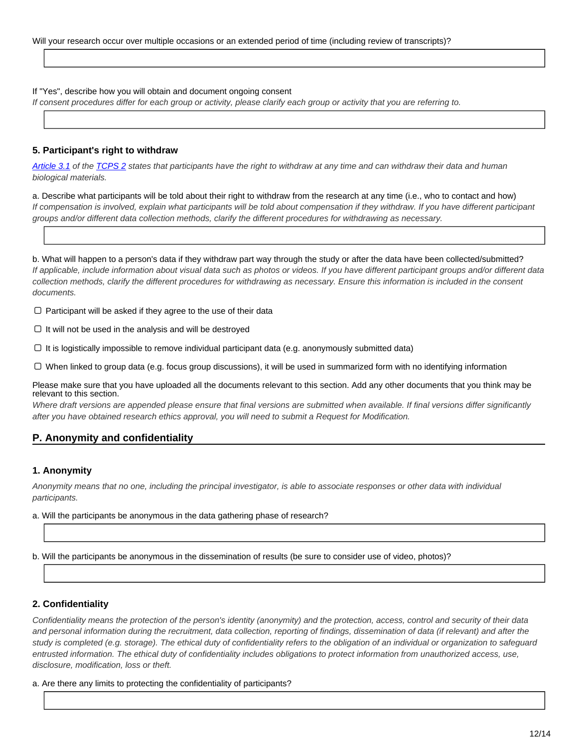### If "Yes", describe how you will obtain and document ongoing consent

If consent procedures differ for each group or activity, please clarify each group or activity that you are referring to.

### **5. Participant's right to withdraw**

[Article 3.1]( http://www.pre.ethics.gc.ca/eng/tcps2-eptc2_2018_chapter3-chapitre3.html ) of the [TCPS 2]( http://www.pre.ethics.gc.ca/eng/policy-politique_tcps2-eptc2_2018.html ) states that participants have the right to withdraw at any time and can withdraw their data and human biological materials.

a. Describe what participants will be told about their right to withdraw from the research at any time (i.e., who to contact and how) If compensation is involved, explain what participants will be told about compensation if they withdraw. If you have different participant groups and/or different data collection methods, clarify the different procedures for withdrawing as necessary.

b. What will happen to a person's data if they withdraw part way through the study or after the data have been collected/submitted? If applicable, include information about visual data such as photos or videos. If you have different participant groups and/or different data collection methods, clarify the different procedures for withdrawing as necessary. Ensure this information is included in the consent documents.

 $\Box$  Participant will be asked if they agree to the use of their data

 $\Box$  It will not be used in the analysis and will be destroyed

 $\Box$  It is logistically impossible to remove individual participant data (e.g. anonymously submitted data)

When linked to group data (e.g. focus group discussions), it will be used in summarized form with no identifying information

Please make sure that you have uploaded all the documents relevant to this section. Add any other documents that you think may be relevant to this section.

Where draft versions are appended please ensure that final versions are submitted when available. If final versions differ significantly after you have obtained research ethics approval, you will need to submit a Request for Modification.

# **P. Anonymity and confidentiality**

### **1. Anonymity**

Anonymity means that no one, including the principal investigator, is able to associate responses or other data with individual participants.

- a. Will the participants be anonymous in the data gathering phase of research?
- b. Will the participants be anonymous in the dissemination of results (be sure to consider use of video, photos)?

### **2. Confidentiality**

Confidentiality means the protection of the person's identity (anonymity) and the protection, access, control and security of their data and personal information during the recruitment, data collection, reporting of findings, dissemination of data (if relevant) and after the study is completed (e.g. storage). The ethical duty of confidentiality refers to the obligation of an individual or organization to safeguard entrusted information. The ethical duty of confidentiality includes obligations to protect information from unauthorized access, use, disclosure, modification, loss or theft.

a. Are there any limits to protecting the confidentiality of participants?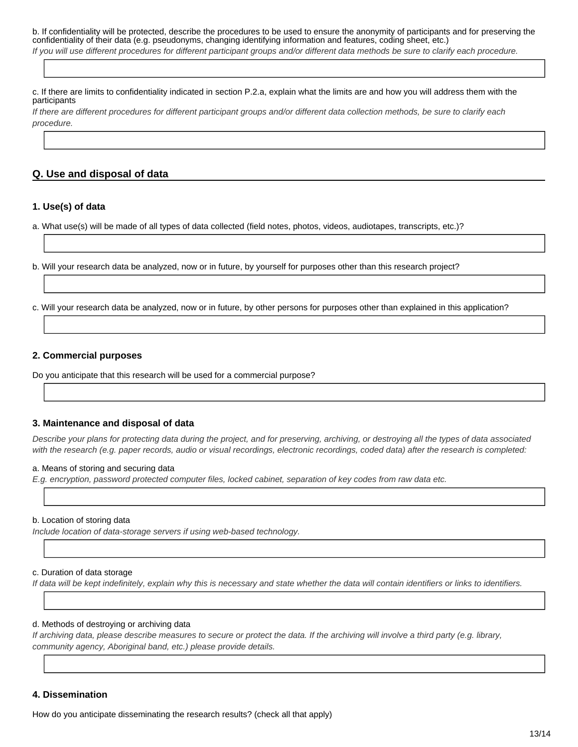b. If confidentiality will be protected, describe the procedures to be used to ensure the anonymity of participants and for preserving the confidentiality of their data (e.g. pseudonyms, changing identifying information and features, coding sheet, etc.) If you will use different procedures for different participant groups and/or different data methods be sure to clarify each procedure.

c. If there are limits to confidentiality indicated in section P.2.a, explain what the limits are and how you will address them with the participants

If there are different procedures for different participant groups and/or different data collection methods, be sure to clarify each procedure.

### **Q. Use and disposal of data**

### **1. Use(s) of data**

a. What use(s) will be made of all types of data collected (field notes, photos, videos, audiotapes, transcripts, etc.)?

b. Will your research data be analyzed, now or in future, by yourself for purposes other than this research project?

c. Will your research data be analyzed, now or in future, by other persons for purposes other than explained in this application?

### **2. Commercial purposes**

Do you anticipate that this research will be used for a commercial purpose?

### **3. Maintenance and disposal of data**

Describe your plans for protecting data during the project, and for preserving, archiving, or destroying all the types of data associated with the research (e.g. paper records, audio or visual recordings, electronic recordings, coded data) after the research is completed:

#### a. Means of storing and securing data

E.g. encryption, password protected computer files, locked cabinet, separation of key codes from raw data etc.

#### b. Location of storing data

Include location of data-storage servers if using web-based technology.

### c. Duration of data storage

If data will be kept indefinitely, explain why this is necessary and state whether the data will contain identifiers or links to identifiers.

### d. Methods of destroying or archiving data

If archiving data, please describe measures to secure or protect the data. If the archiving will involve a third party (e.g. library, community agency, Aboriginal band, etc.) please provide details.

# **4. Dissemination**

How do you anticipate disseminating the research results? (check all that apply)